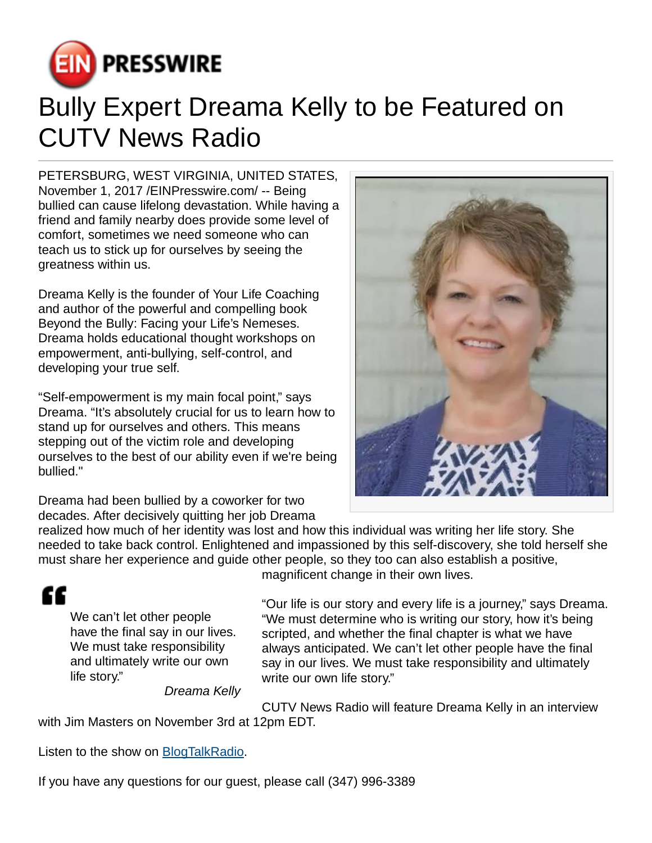

## Bully Expert Dreama Kelly to be Featured on CUTV News Radio

PETERSBURG, WEST VIRGINIA, UNITED STATES, November 1, 2017 /[EINPresswire.com](http://www.einpresswire.com)/ -- Being bullied can cause lifelong devastation. While having a friend and family nearby does provide some level of comfort, sometimes we need someone who can teach us to stick up for ourselves by seeing the greatness within us.

Dreama Kelly is the founder of Your Life Coaching and author of the powerful and compelling book Beyond the Bully: Facing your Life's Nemeses. Dreama holds educational thought workshops on empowerment, anti-bullying, self-control, and developing your true self.

"Self-empowerment is my main focal point," says Dreama. "It's absolutely crucial for us to learn how to stand up for ourselves and others. This means stepping out of the victim role and developing ourselves to the best of our ability even if we're being bullied."

Dreama had been bullied by a coworker for two decades. After decisively quitting her job Dreama

realized how much of her identity was lost and how this individual was writing her life story. She needed to take back control. Enlightened and impassioned by this self-discovery, she told herself she must share her experience and guide other people, so they too can also establish a positive,

## ££

We can't let other people have the final say in our lives. We must take responsibility and ultimately write our own life story."

Dreama Kelly

magnificent change in their own lives.

"Our life is our story and every life is a journey," says Dreama. "We must determine who is writing our story, how it's being scripted, and whether the final chapter is what we have always anticipated. We can't let other people have the final say in our lives. We must take responsibility and ultimately write our own life story."

CUTV News Radio will feature Dreama Kelly in an interview with Jim Masters on November 3rd at 12pm EDT.

Listen to the show on [BlogTalkRadio](http://www.blogtalkradio.com/cutvnewsradio/2017/11/03/cutv-news-radio-spotlights-dreama-kelly-of-your-life-coaching).

If you have any questions for our guest, please call (347) 996-3389